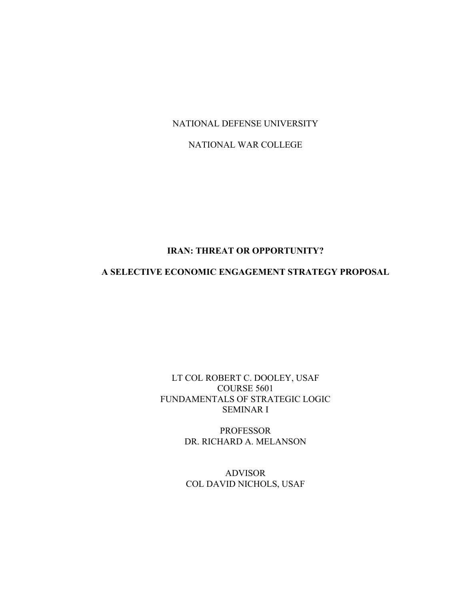NATIONAL DEFENSE UNIVERSITY

NATIONAL WAR COLLEGE

# **IRAN: THREAT OR OPPORTUNITY?**

# **A SELECTIVE ECONOMIC ENGAGEMENT STRATEGY PROPOSAL**

## LT COL ROBERT C. DOOLEY, USAF COURSE 5601 FUNDAMENTALS OF STRATEGIC LOGIC SEMINAR I

PROFESSOR DR. RICHARD A. MELANSON

ADVISOR COL DAVID NICHOLS, USAF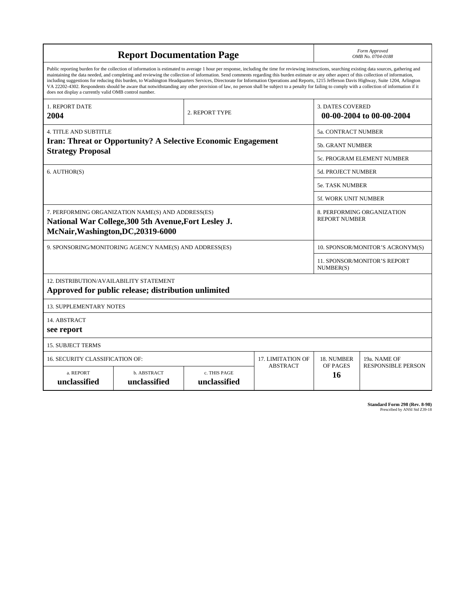| <b>Report Documentation Page</b>                                                                                                                                                                                                                                                                                                                                                                                                                                                                                                                                                                                                                                                                                                                                                                                                                                   |                             |                              |                          |                         | Form Approved<br>OMB No. 0704-0188                 |  |  |
|--------------------------------------------------------------------------------------------------------------------------------------------------------------------------------------------------------------------------------------------------------------------------------------------------------------------------------------------------------------------------------------------------------------------------------------------------------------------------------------------------------------------------------------------------------------------------------------------------------------------------------------------------------------------------------------------------------------------------------------------------------------------------------------------------------------------------------------------------------------------|-----------------------------|------------------------------|--------------------------|-------------------------|----------------------------------------------------|--|--|
| Public reporting burden for the collection of information is estimated to average 1 hour per response, including the time for reviewing instructions, searching existing data sources, gathering and<br>maintaining the data needed, and completing and reviewing the collection of information. Send comments regarding this burden estimate or any other aspect of this collection of information,<br>including suggestions for reducing this burden, to Washington Headquarters Services, Directorate for Information Operations and Reports, 1215 Jefferson Davis Highway, Suite 1204, Arlington<br>VA 22202-4302. Respondents should be aware that notwithstanding any other provision of law, no person shall be subject to a penalty for failing to comply with a collection of information if it<br>does not display a currently valid OMB control number. |                             |                              |                          |                         |                                                    |  |  |
| <b>1. REPORT DATE</b><br>2004                                                                                                                                                                                                                                                                                                                                                                                                                                                                                                                                                                                                                                                                                                                                                                                                                                      |                             | 2. REPORT TYPE               |                          | <b>3. DATES COVERED</b> | 00-00-2004 to 00-00-2004                           |  |  |
| <b>4. TITLE AND SUBTITLE</b>                                                                                                                                                                                                                                                                                                                                                                                                                                                                                                                                                                                                                                                                                                                                                                                                                                       |                             |                              |                          | 5a. CONTRACT NUMBER     |                                                    |  |  |
| Iran: Threat or Opportunity? A Selective Economic Engagement<br><b>Strategy Proposal</b>                                                                                                                                                                                                                                                                                                                                                                                                                                                                                                                                                                                                                                                                                                                                                                           |                             |                              |                          |                         | 5b. GRANT NUMBER                                   |  |  |
|                                                                                                                                                                                                                                                                                                                                                                                                                                                                                                                                                                                                                                                                                                                                                                                                                                                                    |                             |                              |                          |                         | 5c. PROGRAM ELEMENT NUMBER                         |  |  |
| 6. AUTHOR(S)                                                                                                                                                                                                                                                                                                                                                                                                                                                                                                                                                                                                                                                                                                                                                                                                                                                       |                             |                              |                          |                         | <b>5d. PROJECT NUMBER</b>                          |  |  |
|                                                                                                                                                                                                                                                                                                                                                                                                                                                                                                                                                                                                                                                                                                                                                                                                                                                                    |                             |                              |                          |                         | <b>5e. TASK NUMBER</b>                             |  |  |
|                                                                                                                                                                                                                                                                                                                                                                                                                                                                                                                                                                                                                                                                                                                                                                                                                                                                    |                             |                              |                          |                         | 5f. WORK UNIT NUMBER                               |  |  |
| 7. PERFORMING ORGANIZATION NAME(S) AND ADDRESS(ES)<br>National War College, 300 5th Avenue, Fort Lesley J.<br>McNair, Washington, DC, 20319-6000                                                                                                                                                                                                                                                                                                                                                                                                                                                                                                                                                                                                                                                                                                                   |                             |                              |                          |                         | 8. PERFORMING ORGANIZATION<br><b>REPORT NUMBER</b> |  |  |
| 9. SPONSORING/MONITORING AGENCY NAME(S) AND ADDRESS(ES)                                                                                                                                                                                                                                                                                                                                                                                                                                                                                                                                                                                                                                                                                                                                                                                                            |                             |                              |                          |                         | 10. SPONSOR/MONITOR'S ACRONYM(S)                   |  |  |
|                                                                                                                                                                                                                                                                                                                                                                                                                                                                                                                                                                                                                                                                                                                                                                                                                                                                    |                             |                              |                          |                         | 11. SPONSOR/MONITOR'S REPORT<br>NUMBER(S)          |  |  |
| 12. DISTRIBUTION/AVAILABILITY STATEMENT<br>Approved for public release; distribution unlimited                                                                                                                                                                                                                                                                                                                                                                                                                                                                                                                                                                                                                                                                                                                                                                     |                             |                              |                          |                         |                                                    |  |  |
| <b>13. SUPPLEMENTARY NOTES</b>                                                                                                                                                                                                                                                                                                                                                                                                                                                                                                                                                                                                                                                                                                                                                                                                                                     |                             |                              |                          |                         |                                                    |  |  |
| 14. ABSTRACT<br>see report                                                                                                                                                                                                                                                                                                                                                                                                                                                                                                                                                                                                                                                                                                                                                                                                                                         |                             |                              |                          |                         |                                                    |  |  |
| <b>15. SUBJECT TERMS</b>                                                                                                                                                                                                                                                                                                                                                                                                                                                                                                                                                                                                                                                                                                                                                                                                                                           |                             |                              |                          |                         |                                                    |  |  |
| 16. SECURITY CLASSIFICATION OF:                                                                                                                                                                                                                                                                                                                                                                                                                                                                                                                                                                                                                                                                                                                                                                                                                                    |                             |                              | <b>17. LIMITATION OF</b> | 18. NUMBER              | 19a. NAME OF                                       |  |  |
| a. REPORT<br>unclassified                                                                                                                                                                                                                                                                                                                                                                                                                                                                                                                                                                                                                                                                                                                                                                                                                                          | b. ABSTRACT<br>unclassified | c. THIS PAGE<br>unclassified | <b>ABSTRACT</b>          | OF PAGES<br>16          | <b>RESPONSIBLE PERSON</b>                          |  |  |

| <b>Standard Form 298 (Rev. 8-98)</b> |                               |  |  |
|--------------------------------------|-------------------------------|--|--|
|                                      | Prescribed by ANSI Std Z39-18 |  |  |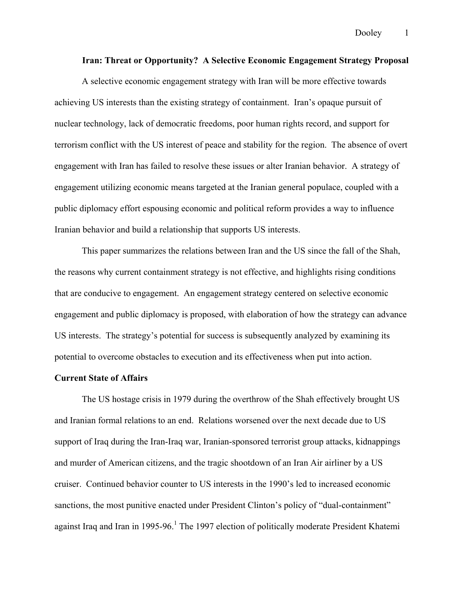#### **Iran: Threat or Opportunity? A Selective Economic Engagement Strategy Proposal**

A selective economic engagement strategy with Iran will be more effective towards achieving US interests than the existing strategy of containment. Iran's opaque pursuit of nuclear technology, lack of democratic freedoms, poor human rights record, and support for terrorism conflict with the US interest of peace and stability for the region. The absence of overt engagement with Iran has failed to resolve these issues or alter Iranian behavior. A strategy of engagement utilizing economic means targeted at the Iranian general populace, coupled with a public diplomacy effort espousing economic and political reform provides a way to influence Iranian behavior and build a relationship that supports US interests.

This paper summarizes the relations between Iran and the US since the fall of the Shah, the reasons why current containment strategy is not effective, and highlights rising conditions that are conducive to engagement. An engagement strategy centered on selective economic engagement and public diplomacy is proposed, with elaboration of how the strategy can advance US interests. The strategy's potential for success is subsequently analyzed by examining its potential to overcome obstacles to execution and its effectiveness when put into action.

#### **Current State of Affairs**

The US hostage crisis in 1979 during the overthrow of the Shah effectively brought US and Iranian formal relations to an end. Relations worsened over the next decade due to US support of Iraq during the Iran-Iraq war, Iranian-sponsored terrorist group attacks, kidnappings and murder of American citizens, and the tragic shootdown of an Iran Air airliner by a US cruiser. Continued behavior counter to US interests in the 1990's led to increased economic sanctions, the most punitive enacted under President Clinton's policy of "dual-containment" against Iraq and Iran in 1995-96.<sup>1</sup> The 1997 election of politically moderate President Khatemi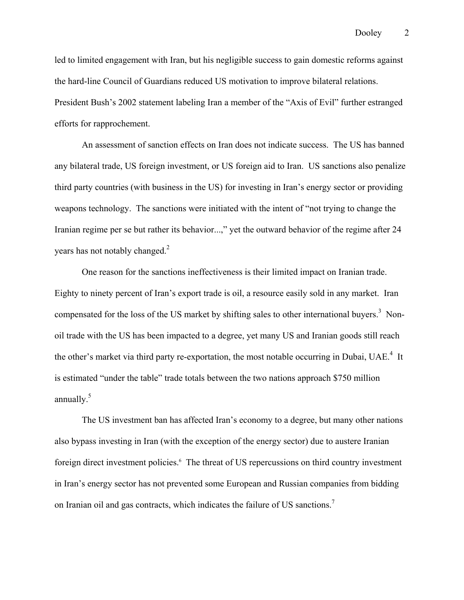led to limited engagement with Iran, but his negligible success to gain domestic reforms against the hard-line Council of Guardians reduced US motivation to improve bilateral relations. President Bush's 2002 statement labeling Iran a member of the "Axis of Evil" further estranged efforts for rapprochement.

An assessment of sanction effects on Iran does not indicate success. The US has banned any bilateral trade, US foreign investment, or US foreign aid to Iran. US sanctions also penalize third party countries (with business in the US) for investing in Iran's energy sector or providing weapons technology. The sanctions were initiated with the intent of "not trying to change the Iranian regime per se but rather its behavior...," yet the outward behavior of the regime after 24 years has not notably changed. $2$ 

One reason for the sanctions ineffectiveness is their limited impact on Iranian trade. Eighty to ninety percent of Iran's export trade is oil, a resource easily sold in any market. Iran compensated for the loss of the US market by shifting sales to other international buyers.<sup>3</sup> Nonoil trade with the US has been impacted to a degree, yet many US and Iranian goods still reach the other's market via third party re-exportation, the most notable occurring in Dubai, UAE.<sup>4</sup> It is estimated "under the table" trade totals between the two nations approach \$750 million annually. $5$ 

The US investment ban has affected Iran's economy to a degree, but many other nations also bypass investing in Iran (with the exception of the energy sector) due to austere Iranian foreign direct investment policies.<sup>6</sup> The threat of US repercussions on third country investment in Iran's energy sector has not prevented some European and Russian companies from bidding on Iranian oil and gas contracts, which indicates the failure of US sanctions.<sup>7</sup>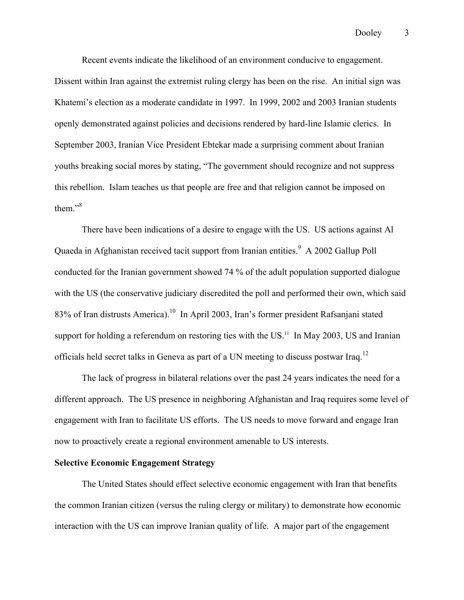Recent events indicate the likelihood of an environment conducive to engagement. Dissent within Iran against the extremist ruling clergy has been on the rise. An initial sign was Khatemi's election as a moderate candidate in 1997. In 1999, 2002 and 2003 Iranian students openly demonstrated against policies and decisions rendered by hard-line Islamic clerics. In September 2003, Iranian Vice President Ebtekar made a surprising comment about Iranian youths breaking social mores by stating, "The government should recognize and not suppress this rebellion. Islam teaches us that people are free and that religion cannot be imposed on them."<sup>8</sup>

There have been indications of a desire to engage with the US. US actions against Al Quaeda in Afghanistan received tacit support from Iranian entities.<sup>9</sup> A 2002 Gallup Poll conducted for the Iranian government showed 74 % of the adult population supported dialogue with the US (the conservative judiciary discredited the poll and performed their own, which said 83% of Iran distrusts America).<sup>10</sup> In April 2003, Iran's former president Rafsanjani stated support for holding a referendum on restoring ties with the US.<sup>11</sup> In May 2003, US and Iranian officials held secret talks in Geneva as part of a UN meeting to discuss postwar Iraq.12

The lack of progress in bilateral relations over the past 24 years indicates the need for a different approach. The US presence in neighboring Afghanistan and Iraq requires some level of engagement with Iran to facilitate US efforts. The US needs to move forward and engage Iran now to proactively create a regional environment amenable to US interests.

## **Selective Economic Engagement Strategy**

The United States should effect selective economic engagement with Iran that benefits the common Iranian citizen (versus the ruling clergy or military) to demonstrate how economic interaction with the US can improve Iranian quality of life. A major part of the engagement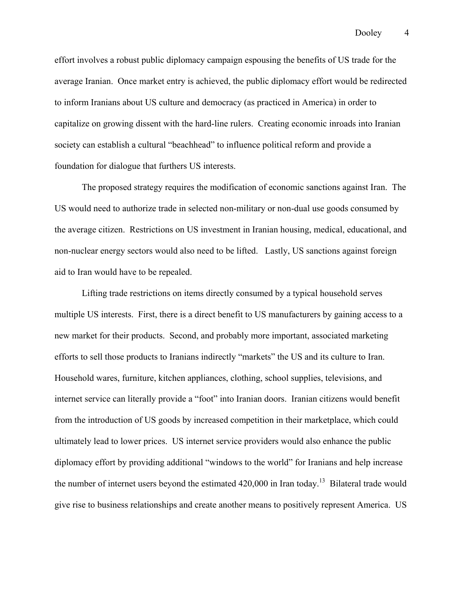effort involves a robust public diplomacy campaign espousing the benefits of US trade for the average Iranian. Once market entry is achieved, the public diplomacy effort would be redirected to inform Iranians about US culture and democracy (as practiced in America) in order to capitalize on growing dissent with the hard-line rulers. Creating economic inroads into Iranian society can establish a cultural "beachhead" to influence political reform and provide a foundation for dialogue that furthers US interests.

The proposed strategy requires the modification of economic sanctions against Iran. The US would need to authorize trade in selected non-military or non-dual use goods consumed by the average citizen. Restrictions on US investment in Iranian housing, medical, educational, and non-nuclear energy sectors would also need to be lifted. Lastly, US sanctions against foreign aid to Iran would have to be repealed.

Lifting trade restrictions on items directly consumed by a typical household serves multiple US interests. First, there is a direct benefit to US manufacturers by gaining access to a new market for their products. Second, and probably more important, associated marketing efforts to sell those products to Iranians indirectly "markets" the US and its culture to Iran. Household wares, furniture, kitchen appliances, clothing, school supplies, televisions, and internet service can literally provide a "foot" into Iranian doors. Iranian citizens would benefit from the introduction of US goods by increased competition in their marketplace, which could ultimately lead to lower prices. US internet service providers would also enhance the public diplomacy effort by providing additional "windows to the world" for Iranians and help increase the number of internet users beyond the estimated  $420,000$  in Iran today.<sup>13</sup> Bilateral trade would give rise to business relationships and create another means to positively represent America. US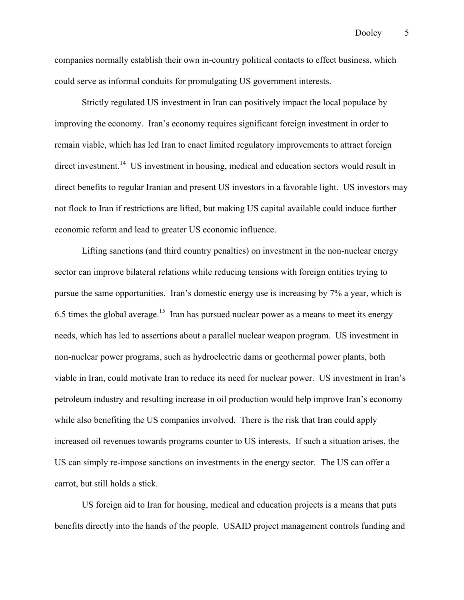companies normally establish their own in-country political contacts to effect business, which could serve as informal conduits for promulgating US government interests.

Strictly regulated US investment in Iran can positively impact the local populace by improving the economy. Iran's economy requires significant foreign investment in order to remain viable, which has led Iran to enact limited regulatory improvements to attract foreign direct investment.<sup>14</sup> US investment in housing, medical and education sectors would result in direct benefits to regular Iranian and present US investors in a favorable light. US investors may not flock to Iran if restrictions are lifted, but making US capital available could induce further economic reform and lead to greater US economic influence.

 Lifting sanctions (and third country penalties) on investment in the non-nuclear energy sector can improve bilateral relations while reducing tensions with foreign entities trying to pursue the same opportunities. Iran's domestic energy use is increasing by 7% a year, which is 6.5 times the global average.<sup>15</sup> Iran has pursued nuclear power as a means to meet its energy needs, which has led to assertions about a parallel nuclear weapon program. US investment in non-nuclear power programs, such as hydroelectric dams or geothermal power plants, both viable in Iran, could motivate Iran to reduce its need for nuclear power. US investment in Iran's petroleum industry and resulting increase in oil production would help improve Iran's economy while also benefiting the US companies involved. There is the risk that Iran could apply increased oil revenues towards programs counter to US interests. If such a situation arises, the US can simply re-impose sanctions on investments in the energy sector. The US can offer a carrot, but still holds a stick.

US foreign aid to Iran for housing, medical and education projects is a means that puts benefits directly into the hands of the people. USAID project management controls funding and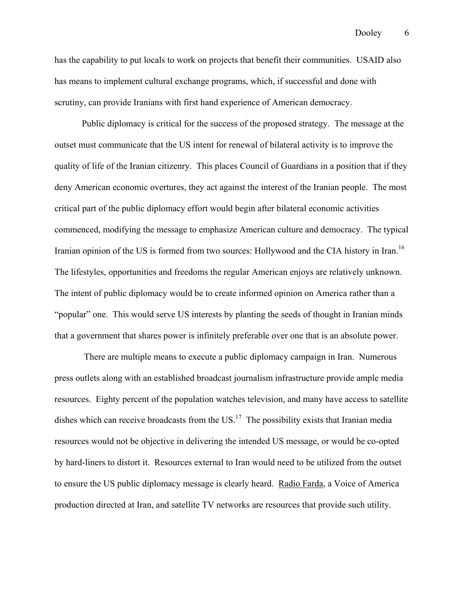has the capability to put locals to work on projects that benefit their communities. USAID also has means to implement cultural exchange programs, which, if successful and done with scrutiny, can provide Iranians with first hand experience of American democracy.

Public diplomacy is critical for the success of the proposed strategy. The message at the outset must communicate that the US intent for renewal of bilateral activity is to improve the quality of life of the Iranian citizenry. This places Council of Guardians in a position that if they deny American economic overtures, they act against the interest of the Iranian people. The most critical part of the public diplomacy effort would begin after bilateral economic activities commenced, modifying the message to emphasize American culture and democracy. The typical Iranian opinion of the US is formed from two sources: Hollywood and the CIA history in Iran.<sup>16</sup> The lifestyles, opportunities and freedoms the regular American enjoys are relatively unknown. The intent of public diplomacy would be to create informed opinion on America rather than a "popular" one. This would serve US interests by planting the seeds of thought in Iranian minds that a government that shares power is infinitely preferable over one that is an absolute power.

 There are multiple means to execute a public diplomacy campaign in Iran. Numerous press outlets along with an established broadcast journalism infrastructure provide ample media resources. Eighty percent of the population watches television, and many have access to satellite dishes which can receive broadcasts from the US.<sup>17</sup> The possibility exists that Iranian media resources would not be objective in delivering the intended US message, or would be co-opted by hard-liners to distort it. Resources external to Iran would need to be utilized from the outset to ensure the US public diplomacy message is clearly heard. Radio Farda, a Voice of America production directed at Iran, and satellite TV networks are resources that provide such utility.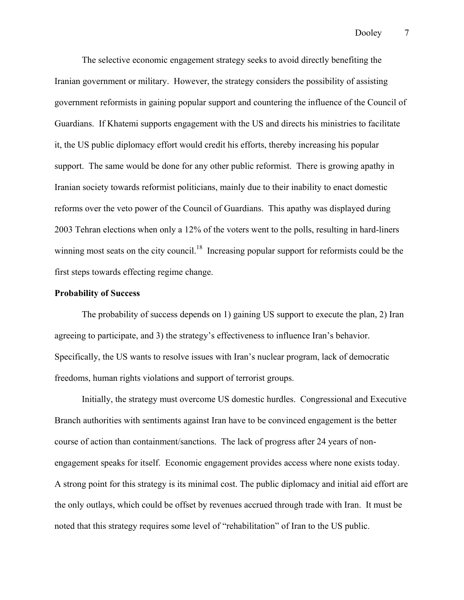The selective economic engagement strategy seeks to avoid directly benefiting the Iranian government or military. However, the strategy considers the possibility of assisting government reformists in gaining popular support and countering the influence of the Council of Guardians. If Khatemi supports engagement with the US and directs his ministries to facilitate it, the US public diplomacy effort would credit his efforts, thereby increasing his popular support. The same would be done for any other public reformist. There is growing apathy in Iranian society towards reformist politicians, mainly due to their inability to enact domestic reforms over the veto power of the Council of Guardians. This apathy was displayed during 2003 Tehran elections when only a 12% of the voters went to the polls, resulting in hard-liners winning most seats on the city council.<sup>18</sup> Increasing popular support for reformists could be the first steps towards effecting regime change.

#### **Probability of Success**

The probability of success depends on 1) gaining US support to execute the plan, 2) Iran agreeing to participate, and 3) the strategy's effectiveness to influence Iran's behavior. Specifically, the US wants to resolve issues with Iran's nuclear program, lack of democratic freedoms, human rights violations and support of terrorist groups.

Initially, the strategy must overcome US domestic hurdles. Congressional and Executive Branch authorities with sentiments against Iran have to be convinced engagement is the better course of action than containment/sanctions. The lack of progress after 24 years of nonengagement speaks for itself. Economic engagement provides access where none exists today. A strong point for this strategy is its minimal cost. The public diplomacy and initial aid effort are the only outlays, which could be offset by revenues accrued through trade with Iran. It must be noted that this strategy requires some level of "rehabilitation" of Iran to the US public.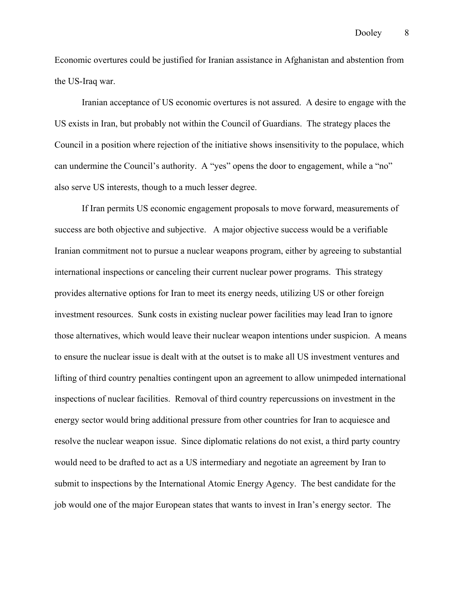Economic overtures could be justified for Iranian assistance in Afghanistan and abstention from the US-Iraq war.

Iranian acceptance of US economic overtures is not assured. A desire to engage with the US exists in Iran, but probably not within the Council of Guardians. The strategy places the Council in a position where rejection of the initiative shows insensitivity to the populace, which can undermine the Council's authority. A "yes" opens the door to engagement, while a "no" also serve US interests, though to a much lesser degree.

If Iran permits US economic engagement proposals to move forward, measurements of success are both objective and subjective. A major objective success would be a verifiable Iranian commitment not to pursue a nuclear weapons program, either by agreeing to substantial international inspections or canceling their current nuclear power programs. This strategy provides alternative options for Iran to meet its energy needs, utilizing US or other foreign investment resources. Sunk costs in existing nuclear power facilities may lead Iran to ignore those alternatives, which would leave their nuclear weapon intentions under suspicion. A means to ensure the nuclear issue is dealt with at the outset is to make all US investment ventures and lifting of third country penalties contingent upon an agreement to allow unimpeded international inspections of nuclear facilities. Removal of third country repercussions on investment in the energy sector would bring additional pressure from other countries for Iran to acquiesce and resolve the nuclear weapon issue. Since diplomatic relations do not exist, a third party country would need to be drafted to act as a US intermediary and negotiate an agreement by Iran to submit to inspections by the International Atomic Energy Agency. The best candidate for the job would one of the major European states that wants to invest in Iran's energy sector. The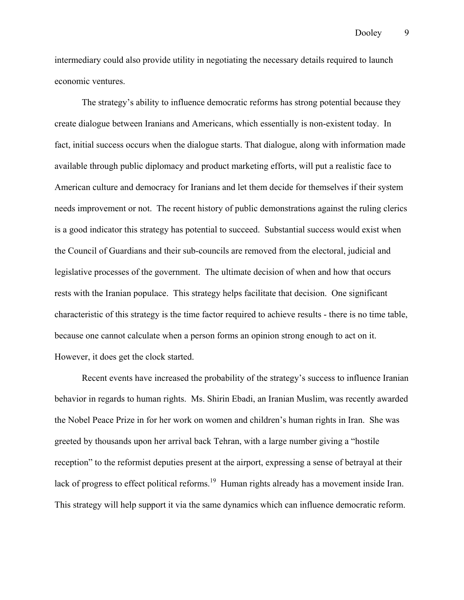intermediary could also provide utility in negotiating the necessary details required to launch economic ventures.

The strategy's ability to influence democratic reforms has strong potential because they create dialogue between Iranians and Americans, which essentially is non-existent today. In fact, initial success occurs when the dialogue starts. That dialogue, along with information made available through public diplomacy and product marketing efforts, will put a realistic face to American culture and democracy for Iranians and let them decide for themselves if their system needs improvement or not. The recent history of public demonstrations against the ruling clerics is a good indicator this strategy has potential to succeed. Substantial success would exist when the Council of Guardians and their sub-councils are removed from the electoral, judicial and legislative processes of the government. The ultimate decision of when and how that occurs rests with the Iranian populace. This strategy helps facilitate that decision. One significant characteristic of this strategy is the time factor required to achieve results - there is no time table, because one cannot calculate when a person forms an opinion strong enough to act on it. However, it does get the clock started.

Recent events have increased the probability of the strategy's success to influence Iranian behavior in regards to human rights. Ms. Shirin Ebadi, an Iranian Muslim, was recently awarded the Nobel Peace Prize in for her work on women and children's human rights in Iran. She was greeted by thousands upon her arrival back Tehran, with a large number giving a "hostile reception" to the reformist deputies present at the airport, expressing a sense of betrayal at their lack of progress to effect political reforms.<sup>19</sup> Human rights already has a movement inside Iran. This strategy will help support it via the same dynamics which can influence democratic reform.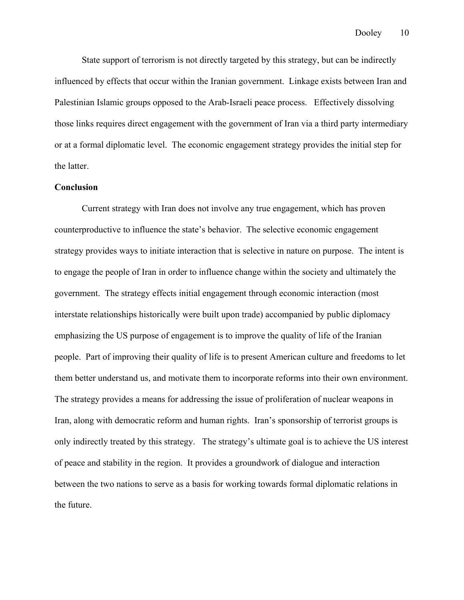State support of terrorism is not directly targeted by this strategy, but can be indirectly influenced by effects that occur within the Iranian government. Linkage exists between Iran and Palestinian Islamic groups opposed to the Arab-Israeli peace process. Effectively dissolving those links requires direct engagement with the government of Iran via a third party intermediary or at a formal diplomatic level. The economic engagement strategy provides the initial step for the latter.

### **Conclusion**

Current strategy with Iran does not involve any true engagement, which has proven counterproductive to influence the state's behavior. The selective economic engagement strategy provides ways to initiate interaction that is selective in nature on purpose. The intent is to engage the people of Iran in order to influence change within the society and ultimately the government. The strategy effects initial engagement through economic interaction (most interstate relationships historically were built upon trade) accompanied by public diplomacy emphasizing the US purpose of engagement is to improve the quality of life of the Iranian people. Part of improving their quality of life is to present American culture and freedoms to let them better understand us, and motivate them to incorporate reforms into their own environment. The strategy provides a means for addressing the issue of proliferation of nuclear weapons in Iran, along with democratic reform and human rights. Iran's sponsorship of terrorist groups is only indirectly treated by this strategy. The strategy's ultimate goal is to achieve the US interest of peace and stability in the region. It provides a groundwork of dialogue and interaction between the two nations to serve as a basis for working towards formal diplomatic relations in the future.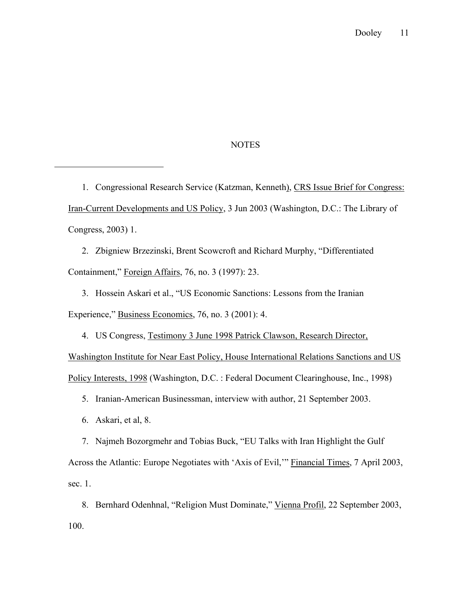## NOTES

1. Congressional Research Service (Katzman, Kenneth), CRS Issue Brief for Congress: Iran-Current Developments and US Policy, 3 Jun 2003 (Washington, D.C.: The Library of Congress, 2003) 1.

2. Zbigniew Brzezinski, Brent Scowcroft and Richard Murphy, "Differentiated Containment," Foreign Affairs, 76, no. 3 (1997): 23.

3. Hossein Askari et al., "US Economic Sanctions: Lessons from the Iranian Experience," Business Economics, 76, no. 3 (2001): 4.

4. US Congress, Testimony 3 June 1998 Patrick Clawson, Research Director, Washington Institute for Near East Policy, House International Relations Sanctions and US Policy Interests, 1998 (Washington, D.C. : Federal Document Clearinghouse, Inc., 1998)

5. Iranian-American Businessman, interview with author, 21 September 2003.

6. Askari, et al, 8.

 $\overline{a}$ 

7. Najmeh Bozorgmehr and Tobias Buck, "EU Talks with Iran Highlight the Gulf Across the Atlantic: Europe Negotiates with 'Axis of Evil,'" Financial Times, 7 April 2003, sec. 1.

8. Bernhard Odenhnal, "Religion Must Dominate," Vienna Profil, 22 September 2003, 100.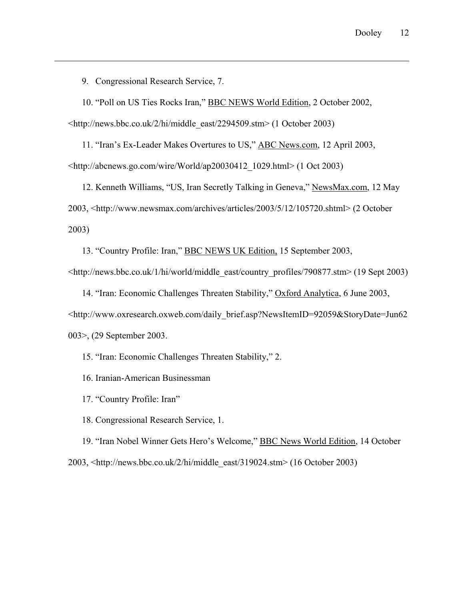9. Congressional Research Service, 7.

 $\overline{a}$ 

10. "Poll on US Ties Rocks Iran," BBC NEWS World Edition, 2 October 2002,

<http://news.bbc.co.uk/2/hi/middle\_east/2294509.stm> (1 October 2003)

11. "Iran's Ex-Leader Makes Overtures to US," ABC News.com, 12 April 2003, <http://abcnews.go.com/wire/World/ap20030412\_1029.html> (1 Oct 2003)

12. Kenneth Williams, "US, Iran Secretly Talking in Geneva," NewsMax.com, 12 May 2003, <http://www.newsmax.com/archives/articles/2003/5/12/105720.shtml> (2 October 2003)

13. "Country Profile: Iran," BBC NEWS UK Edition, 15 September 2003,

<http://news.bbc.co.uk/1/hi/world/middle\_east/country\_profiles/790877.stm> (19 Sept 2003)

14. "Iran: Economic Challenges Threaten Stability," Oxford Analytica, 6 June 2003, <http://www.oxresearch.oxweb.com/daily\_brief.asp?NewsItemID=92059&StoryDate=Jun62 003>, (29 September 2003.

15. "Iran: Economic Challenges Threaten Stability," 2.

16. Iranian-American Businessman

17. "Country Profile: Iran"

18. Congressional Research Service, 1.

19. "Iran Nobel Winner Gets Hero's Welcome," BBC News World Edition, 14 October 2003, <http://news.bbc.co.uk/2/hi/middle\_east/319024.stm> (16 October 2003)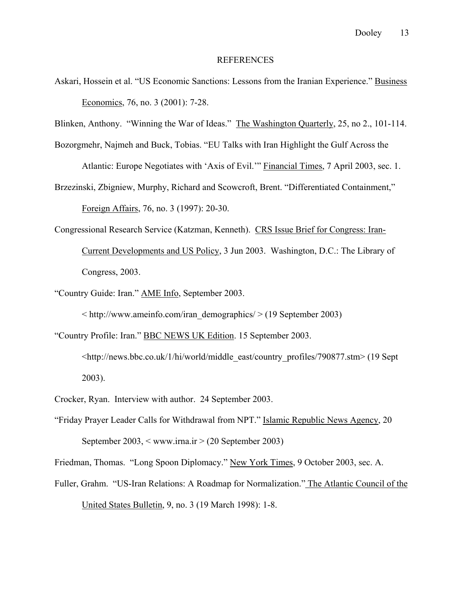#### REFERENCES

- Askari, Hossein et al. "US Economic Sanctions: Lessons from the Iranian Experience." Business Economics, 76, no. 3 (2001): 7-28.
- Blinken, Anthony. "Winning the War of Ideas." The Washington Quarterly, 25, no 2., 101-114.

Bozorgmehr, Najmeh and Buck, Tobias. "EU Talks with Iran Highlight the Gulf Across the

Atlantic: Europe Negotiates with 'Axis of Evil.'" Financial Times, 7 April 2003, sec. 1.

Brzezinski, Zbigniew, Murphy, Richard and Scowcroft, Brent. "Differentiated Containment," Foreign Affairs, 76, no. 3 (1997): 20-30.

- Congressional Research Service (Katzman, Kenneth). CRS Issue Brief for Congress: Iran-Current Developments and US Policy, 3 Jun 2003. Washington, D.C.: The Library of Congress, 2003.
- "Country Guide: Iran." AME Info, September 2003.

 $\langle \text{http://www.ameinfo.com/iran demographies/} \rangle$  (19 September 2003)

"Country Profile: Iran." BBC NEWS UK Edition. 15 September 2003.

<http://news.bbc.co.uk/1/hi/world/middle\_east/country\_profiles/790877.stm> (19 Sept 2003).

Crocker, Ryan. Interview with author. 24 September 2003.

"Friday Prayer Leader Calls for Withdrawal from NPT." Islamic Republic News Agency, 20 September 2003,  $\langle$  www.irna.ir  $>$  (20 September 2003)

Friedman, Thomas. "Long Spoon Diplomacy." New York Times, 9 October 2003, sec. A.

Fuller, Grahm. "US-Iran Relations: A Roadmap for Normalization." The Atlantic Council of the United States Bulletin, 9, no. 3 (19 March 1998): 1-8.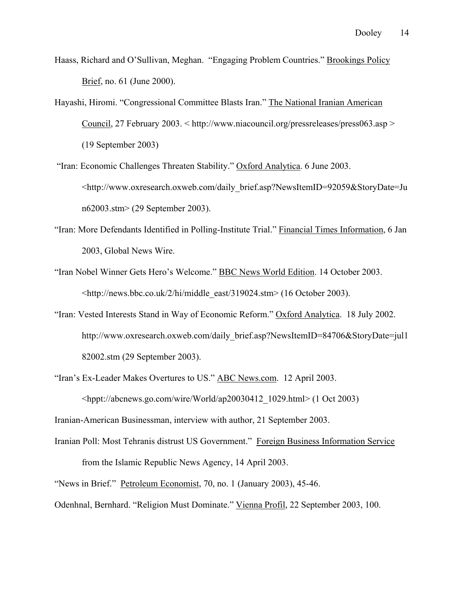Haass, Richard and O'Sullivan, Meghan. "Engaging Problem Countries." Brookings Policy Brief, no. 61 (June 2000).

- Hayashi, Hiromi. "Congressional Committee Blasts Iran." The National Iranian American Council, 27 February 2003. < http://www.niacouncil.org/pressreleases/press063.asp > (19 September 2003)
- "Iran: Economic Challenges Threaten Stability." Oxford Analytica. 6 June 2003. <http://www.oxresearch.oxweb.com/daily\_brief.asp?NewsItemID=92059&StoryDate=Ju n62003.stm> (29 September 2003).
- "Iran: More Defendants Identified in Polling-Institute Trial." Financial Times Information, 6 Jan 2003, Global News Wire.
- "Iran Nobel Winner Gets Hero's Welcome." BBC News World Edition. 14 October 2003. <http://news.bbc.co.uk/2/hi/middle\_east/319024.stm> (16 October 2003).
- "Iran: Vested Interests Stand in Way of Economic Reform." Oxford Analytica. 18 July 2002. http://www.oxresearch.oxweb.com/daily\_brief.asp?NewsItemID=84706&StoryDate=jul1 82002.stm (29 September 2003).
- "Iran's Ex-Leader Makes Overtures to US." ABC News.com. 12 April 2003. <hppt://abcnews.go.com/wire/World/ap20030412\_1029.html> (1 Oct 2003)

Iranian-American Businessman, interview with author, 21 September 2003.

- Iranian Poll: Most Tehranis distrust US Government." Foreign Business Information Service from the Islamic Republic News Agency, 14 April 2003.
- "News in Brief." Petroleum Economist, 70, no. 1 (January 2003), 45-46.

Odenhnal, Bernhard. "Religion Must Dominate." Vienna Profil, 22 September 2003, 100.